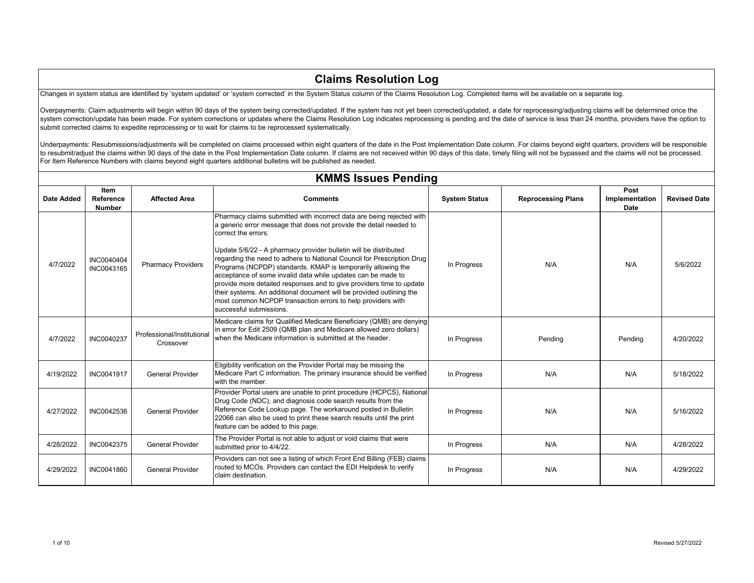#### **Claims Resolution Log**

Changes in system status are identified by 'system updated' or 'system corrected' in the System Status column of the Claims Resolution Log. Completed items will be available on a separate log.

Overpayments: Claim adjustments will begin within 90 days of the system being corrected/updated. If the system has not yet been corrected/updated, a date for reprocessing/adjusting claims will be determined once the system correction/update has been made. For system corrections or updates where the Claims Resolution Log indicates reprocessing is pending and the date of service is less than 24 months, providers have the option to submit corrected claims to expedite reprocessing or to wait for claims to be reprocessed systematically.

Underpayments: Resubmissions/adjustments will be completed on claims processed within eight quarters of the date in the Post Implementation Date column. For claims beyond eight quarters, providers will be responsible to resubmit/adjust the claims within 90 days of the date in the Post Implementation Date column. If claims are not received within 90 days of this date, timely filing will not be bypassed and the claims will not be process For Item Reference Numbers with claims beyond eight quarters additional bulletins will be published as needed.

|                   | <b>KMMS Issues Pending</b>         |                                         |                                                                                                                                                                                                                                                                                                                                                                                                                                                                                                                                                                                                                                                                                            |                      |                           |                                       |                     |  |  |
|-------------------|------------------------------------|-----------------------------------------|--------------------------------------------------------------------------------------------------------------------------------------------------------------------------------------------------------------------------------------------------------------------------------------------------------------------------------------------------------------------------------------------------------------------------------------------------------------------------------------------------------------------------------------------------------------------------------------------------------------------------------------------------------------------------------------------|----------------------|---------------------------|---------------------------------------|---------------------|--|--|
| <b>Date Added</b> | Item<br>Reference<br><b>Number</b> | <b>Affected Area</b>                    | <b>Comments</b>                                                                                                                                                                                                                                                                                                                                                                                                                                                                                                                                                                                                                                                                            | <b>System Status</b> | <b>Reprocessing Plans</b> | Post<br>Implementation<br><b>Date</b> | <b>Revised Date</b> |  |  |
| 4/7/2022          | INC0040404<br>INC0043165           | <b>Pharmacy Providers</b>               | Pharmacy claims submitted with incorrect data are being rejected with<br>a generic error message that does not provide the detail needed to<br>correct the errors.<br>Update 5/6/22 - A pharmacy provider bulletin will be distributed<br>regarding the need to adhere to National Council for Prescription Drug<br>Programs (NCPDP) standards. KMAP is temporarily allowing the<br>acceptance of some invalid data while updates can be made to<br>provide more detailed responses and to give providers time to update<br>their systems. An additional document will be provided outlining the<br>most common NCPDP transaction errors to help providers with<br>successful submissions. | In Progress          | N/A                       | N/A                                   | 5/6/2022            |  |  |
| 4/7/2022          | INC0040237                         | Professional/Institutional<br>Crossover | Medicare claims for Qualified Medicare Beneficiary (QMB) are denying<br>in error for Edit 2509 (QMB plan and Medicare allowed zero dollars)<br>when the Medicare information is submitted at the header.                                                                                                                                                                                                                                                                                                                                                                                                                                                                                   | In Progress          | Pending                   | Pending                               | 4/20/2022           |  |  |
| 4/19/2022         | INC0041917                         | <b>General Provider</b>                 | Eligibility verification on the Provider Portal may be missing the<br>Medicare Part C information. The primary insurance should be verified<br>with the member.                                                                                                                                                                                                                                                                                                                                                                                                                                                                                                                            | In Progress          | N/A                       | N/A                                   | 5/18/2022           |  |  |
| 4/27/2022         | INC0042536                         | <b>General Provider</b>                 | Provider Portal users are unable to print procedure (HCPCS), National<br>Drug Code (NDC), and diagnosis code search results from the<br>Reference Code Lookup page. The workaround posted in Bulletin<br>22066 can also be used to print these search results until the print<br>feature can be added to this page.                                                                                                                                                                                                                                                                                                                                                                        | In Progress          | N/A                       | N/A                                   | 5/16/2022           |  |  |
| 4/28/2022         | INC0042375                         | <b>General Provider</b>                 | The Provider Portal is not able to adjust or void claims that were<br>submitted prior to 4/4/22.                                                                                                                                                                                                                                                                                                                                                                                                                                                                                                                                                                                           | In Progress          | N/A                       | N/A                                   | 4/28/2022           |  |  |
| 4/29/2022         | INC0041860                         | <b>General Provider</b>                 | Providers can not see a listing of which Front End Billing (FEB) claims<br>routed to MCOs. Providers can contact the EDI Helpdesk to verify<br>claim destination.                                                                                                                                                                                                                                                                                                                                                                                                                                                                                                                          | In Progress          | N/A                       | N/A                                   | 4/29/2022           |  |  |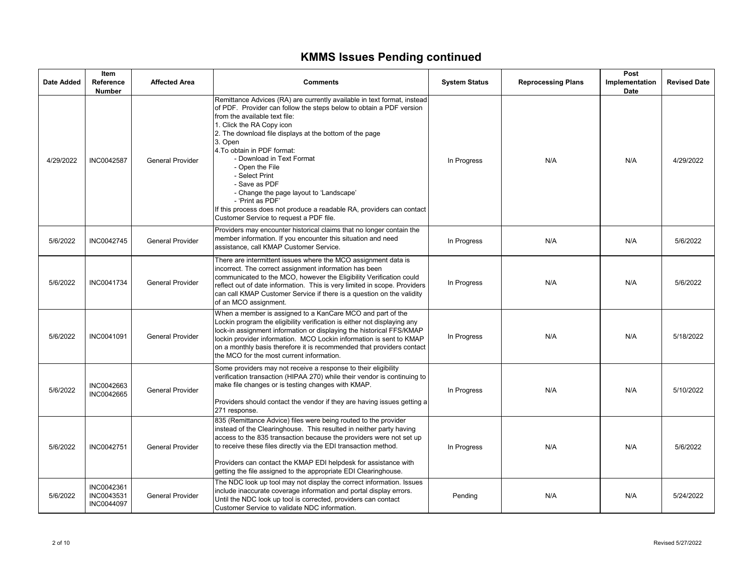# **KMMS Issues Pending continued**

| <b>Date Added</b> | Item<br>Reference<br><b>Number</b>     | <b>Affected Area</b>    | <b>Comments</b>                                                                                                                                                                                                                                                                                                                                                                                                                                                                                                                                                                         | <b>System Status</b> | <b>Reprocessing Plans</b> | Post<br>Implementation<br>Date | <b>Revised Date</b> |
|-------------------|----------------------------------------|-------------------------|-----------------------------------------------------------------------------------------------------------------------------------------------------------------------------------------------------------------------------------------------------------------------------------------------------------------------------------------------------------------------------------------------------------------------------------------------------------------------------------------------------------------------------------------------------------------------------------------|----------------------|---------------------------|--------------------------------|---------------------|
| 4/29/2022         | INC0042587                             | <b>General Provider</b> | Remittance Advices (RA) are currently available in text format, instead<br>of PDF. Provider can follow the steps below to obtain a PDF version<br>from the available text file:<br>1. Click the RA Copy icon<br>2. The download file displays at the bottom of the page<br>3. Open<br>4. To obtain in PDF format:<br>- Download in Text Format<br>- Open the File<br>- Select Print<br>- Save as PDF<br>- Change the page layout to 'Landscape'<br>- 'Print as PDF'<br>If this process does not produce a readable RA, providers can contact<br>Customer Service to request a PDF file. | In Progress          | N/A                       | N/A                            | 4/29/2022           |
| 5/6/2022          | INC0042745                             | <b>General Provider</b> | Providers may encounter historical claims that no longer contain the<br>member information. If you encounter this situation and need<br>assistance, call KMAP Customer Service.                                                                                                                                                                                                                                                                                                                                                                                                         | In Progress          | N/A                       | N/A                            | 5/6/2022            |
| 5/6/2022          | INC0041734                             | <b>General Provider</b> | There are intermittent issues where the MCO assignment data is<br>incorrect. The correct assignment information has been<br>communicated to the MCO, however the Eligibility Verification could<br>reflect out of date information. This is very limited in scope. Providers<br>can call KMAP Customer Service if there is a question on the validity<br>of an MCO assignment.                                                                                                                                                                                                          | In Progress          | N/A                       | N/A                            | 5/6/2022            |
| 5/6/2022          | INC0041091                             | <b>General Provider</b> | When a member is assigned to a KanCare MCO and part of the<br>Lockin program the eligibility verification is either not displaying any<br>lock-in assignment information or displaying the historical FFS/KMAP<br>lockin provider information. MCO Lockin information is sent to KMAP<br>on a monthly basis therefore it is recommended that providers contact<br>the MCO for the most current information.                                                                                                                                                                             | In Progress          | N/A                       | N/A                            | 5/18/2022           |
| 5/6/2022          | INC0042663<br>INC0042665               | <b>General Provider</b> | Some providers may not receive a response to their eligibility<br>verification transaction (HIPAA 270) while their vendor is continuing to<br>make file changes or is testing changes with KMAP.<br>Providers should contact the vendor if they are having issues getting a<br>271 response.                                                                                                                                                                                                                                                                                            | In Progress          | N/A                       | N/A                            | 5/10/2022           |
| 5/6/2022          | INC0042751                             | <b>General Provider</b> | 835 (Remittance Advice) files were being routed to the provider<br>instead of the Clearinghouse. This resulted in neither party having<br>access to the 835 transaction because the providers were not set up<br>to receive these files directly via the EDI transaction method.<br>Providers can contact the KMAP EDI helpdesk for assistance with<br>getting the file assigned to the appropriate EDI Clearinghouse.                                                                                                                                                                  | In Progress          | N/A                       | N/A                            | 5/6/2022            |
| 5/6/2022          | INC0042361<br>INC0043531<br>INC0044097 | <b>General Provider</b> | The NDC look up tool may not display the correct information. Issues<br>include inaccurate coverage information and portal display errors.<br>Until the NDC look up tool is corrected, providers can contact<br>Customer Service to validate NDC information.                                                                                                                                                                                                                                                                                                                           | Pending              | N/A                       | N/A                            | 5/24/2022           |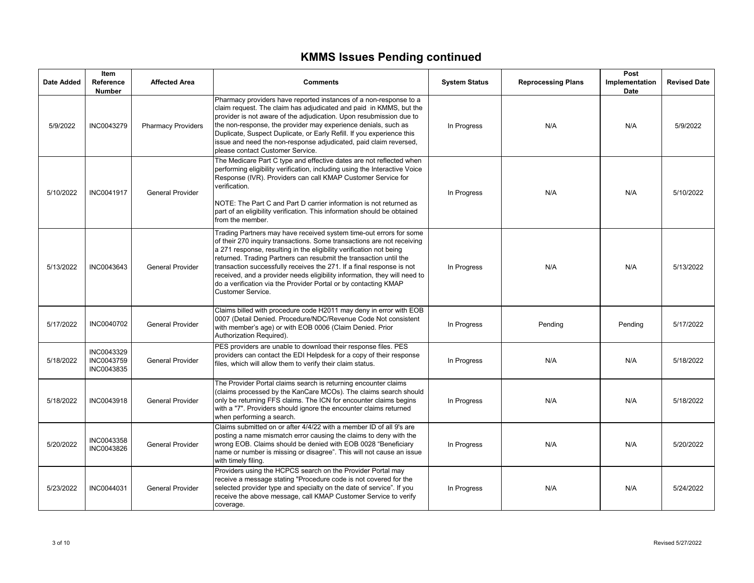# **KMMS Issues Pending continued**

| Date Added | <b>Item</b><br>Reference<br><b>Number</b> | <b>Affected Area</b>      | <b>Comments</b>                                                                                                                                                                                                                                                                                                                                                                                                                                                                                                                               | <b>System Status</b> | <b>Reprocessing Plans</b> | Post<br>Implementation<br>Date | <b>Revised Date</b> |
|------------|-------------------------------------------|---------------------------|-----------------------------------------------------------------------------------------------------------------------------------------------------------------------------------------------------------------------------------------------------------------------------------------------------------------------------------------------------------------------------------------------------------------------------------------------------------------------------------------------------------------------------------------------|----------------------|---------------------------|--------------------------------|---------------------|
| 5/9/2022   | INC0043279                                | <b>Pharmacy Providers</b> | Pharmacy providers have reported instances of a non-response to a<br>claim request. The claim has adjudicated and paid in KMMS, but the<br>provider is not aware of the adjudication. Upon resubmission due to<br>the non-response, the provider may experience denials, such as<br>Duplicate, Suspect Duplicate, or Early Refill. If you experience this<br>issue and need the non-response adjudicated, paid claim reversed,<br>please contact Customer Service.                                                                            | In Progress          | N/A                       | N/A                            | 5/9/2022            |
| 5/10/2022  | INC0041917                                | <b>General Provider</b>   | The Medicare Part C type and effective dates are not reflected when<br>performing eligibility verification, including using the Interactive Voice<br>Response (IVR). Providers can call KMAP Customer Service for<br>verification.<br>NOTE: The Part C and Part D carrier information is not returned as<br>part of an eligibility verification. This information should be obtained<br>from the member.                                                                                                                                      | In Progress          | N/A                       | N/A                            | 5/10/2022           |
| 5/13/2022  | INC0043643                                | <b>General Provider</b>   | Trading Partners may have received system time-out errors for some<br>of their 270 inquiry transactions. Some transactions are not receiving<br>a 271 response, resulting in the eligibility verification not being<br>returned. Trading Partners can resubmit the transaction until the<br>transaction successfully receives the 271. If a final response is not<br>received, and a provider needs eligibility information, they will need to<br>do a verification via the Provider Portal or by contacting KMAP<br><b>Customer Service.</b> | In Progress          | N/A                       | N/A                            | 5/13/2022           |
| 5/17/2022  | INC0040702                                | <b>General Provider</b>   | Claims billed with procedure code H2011 may deny in error with EOB<br>0007 (Detail Denied. Procedure/NDC/Revenue Code Not consistent<br>with member's age) or with EOB 0006 (Claim Denied. Prior<br>Authorization Required).                                                                                                                                                                                                                                                                                                                  | In Progress          | Pending                   | Pending                        | 5/17/2022           |
| 5/18/2022  | INC0043329<br>INC0043759<br>INC0043835    | <b>General Provider</b>   | PES providers are unable to download their response files. PES<br>providers can contact the EDI Helpdesk for a copy of their response<br>files, which will allow them to verify their claim status.                                                                                                                                                                                                                                                                                                                                           | In Progress          | N/A                       | N/A                            | 5/18/2022           |
| 5/18/2022  | INC0043918                                | <b>General Provider</b>   | The Provider Portal claims search is returning encounter claims<br>(claims processed by the KanCare MCOs). The claims search should<br>only be returning FFS claims. The ICN for encounter claims begins<br>with a "7". Providers should ignore the encounter claims returned<br>when performing a search.                                                                                                                                                                                                                                    | In Progress          | N/A                       | N/A                            | 5/18/2022           |
| 5/20/2022  | INC0043358<br>INC0043826                  | <b>General Provider</b>   | Claims submitted on or after 4/4/22 with a member ID of all 9's are<br>posting a name mismatch error causing the claims to deny with the<br>wrong EOB. Claims should be denied with EOB 0028 "Beneficiary<br>name or number is missing or disagree". This will not cause an issue<br>with timely filing.                                                                                                                                                                                                                                      | In Progress          | N/A                       | N/A                            | 5/20/2022           |
| 5/23/2022  | INC0044031                                | <b>General Provider</b>   | Providers using the HCPCS search on the Provider Portal may<br>receive a message stating "Procedure code is not covered for the<br>selected provider type and specialty on the date of service". If you<br>receive the above message, call KMAP Customer Service to verify<br>coverage.                                                                                                                                                                                                                                                       | In Progress          | N/A                       | N/A                            | 5/24/2022           |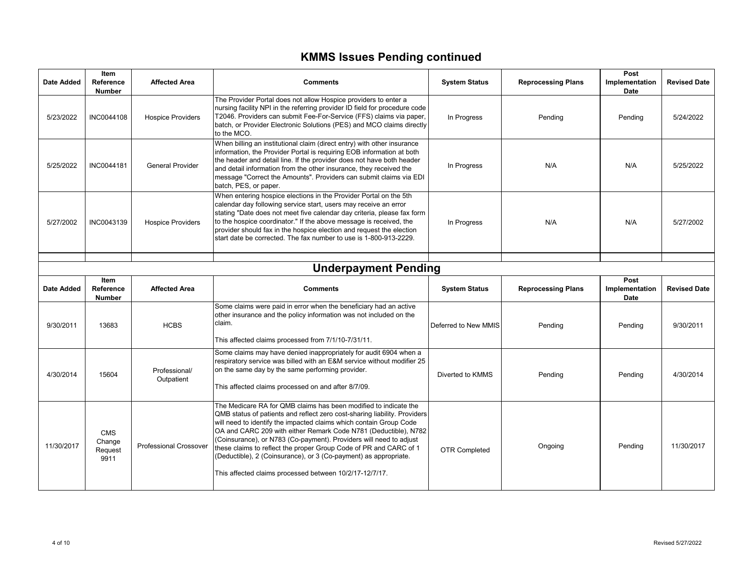# **KMMS Issues Pending continued**

| <b>Date Added</b>           | Item<br>Reference<br><b>Number</b> | <b>Affected Area</b>        | <b>Comments</b>                                                                                                                                                                                                                                                                                                                                                                                                                     | <b>System Status</b> | <b>Reprocessing Plans</b> | Post<br>Implementation<br>Date | <b>Revised Date</b> |  |
|-----------------------------|------------------------------------|-----------------------------|-------------------------------------------------------------------------------------------------------------------------------------------------------------------------------------------------------------------------------------------------------------------------------------------------------------------------------------------------------------------------------------------------------------------------------------|----------------------|---------------------------|--------------------------------|---------------------|--|
| 5/23/2022                   | INC0044108                         | <b>Hospice Providers</b>    | The Provider Portal does not allow Hospice providers to enter a<br>nursing facility NPI in the referring provider ID field for procedure code<br>T2046. Providers can submit Fee-For-Service (FFS) claims via paper,<br>batch, or Provider Electronic Solutions (PES) and MCO claims directly<br>to the MCO.                                                                                                                        | In Progress          | Pending                   | Pending                        | 5/24/2022           |  |
| 5/25/2022                   | <b>INC0044181</b>                  | <b>General Provider</b>     | When billing an institutional claim (direct entry) with other insurance<br>information, the Provider Portal is requiring EOB information at both<br>the header and detail line. If the provider does not have both header<br>and detail information from the other insurance, they received the<br>message "Correct the Amounts". Providers can submit claims via EDI<br>batch, PES, or paper.                                      | In Progress          | N/A                       | N/A                            | 5/25/2022           |  |
| 5/27/2002                   | INC0043139                         | <b>Hospice Providers</b>    | When entering hospice elections in the Provider Portal on the 5th<br>calendar day following service start, users may receive an error<br>stating "Date does not meet five calendar day criteria, please fax form<br>to the hospice coordinator." If the above message is received, the<br>provider should fax in the hospice election and request the election<br>start date be corrected. The fax number to use is 1-800-913-2229. | In Progress          | N/A                       | N/A                            | 5/27/2002           |  |
| <b>Underpayment Pending</b> |                                    |                             |                                                                                                                                                                                                                                                                                                                                                                                                                                     |                      |                           |                                |                     |  |
| <b>Date Added</b>           | Item<br>Reference                  | <b>Affected Area</b>        | <b>Comments</b>                                                                                                                                                                                                                                                                                                                                                                                                                     | <b>System Status</b> | <b>Reprocessing Plans</b> | Post<br>Implementation         | <b>Revised Date</b> |  |
|                             | <b>Number</b>                      |                             |                                                                                                                                                                                                                                                                                                                                                                                                                                     |                      |                           | Date                           |                     |  |
| 9/30/2011                   | 13683                              | <b>HCBS</b>                 | Some claims were paid in error when the beneficiary had an active<br>other insurance and the policy information was not included on the<br>claim.<br>This affected claims processed from 7/1/10-7/31/11.                                                                                                                                                                                                                            | Deferred to New MMIS | Pending                   | Pending                        | 9/30/2011           |  |
| 4/30/2014                   | 15604                              | Professional/<br>Outpatient | Some claims may have denied inappropriately for audit 6904 when a<br>respiratory service was billed with an E&M service without modifier 25<br>on the same day by the same performing provider.<br>This affected claims processed on and after 8/7/09.                                                                                                                                                                              | Diverted to KMMS     | Pending                   | Pending                        | 4/30/2014           |  |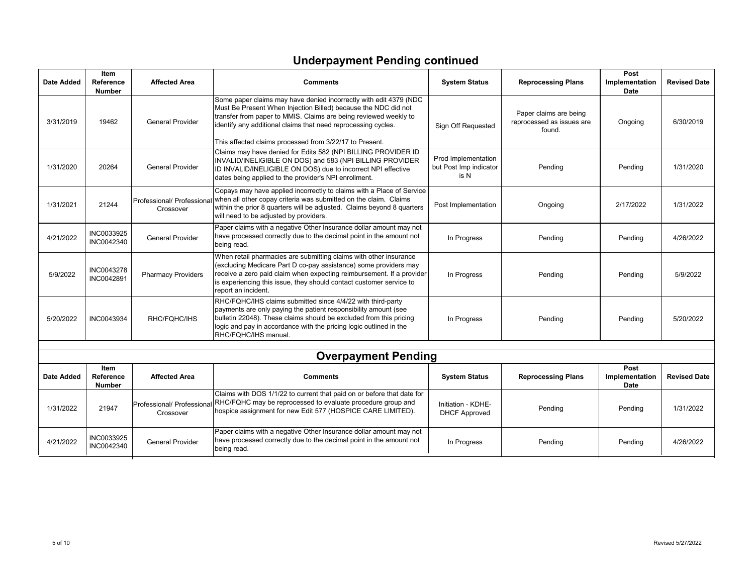# **Underpayment Pending continued**

| <b>Date Added</b> | Item<br>Reference<br><b>Number</b> | <b>Affected Area</b>                    | <b>Comments</b>                                                                                                                                                                                                                                                                                                                     | <b>System Status</b>                                  | <b>Reprocessing Plans</b>                                     | Post<br>Implementation<br><b>Date</b> | <b>Revised Date</b> |
|-------------------|------------------------------------|-----------------------------------------|-------------------------------------------------------------------------------------------------------------------------------------------------------------------------------------------------------------------------------------------------------------------------------------------------------------------------------------|-------------------------------------------------------|---------------------------------------------------------------|---------------------------------------|---------------------|
| 3/31/2019         | 19462                              | <b>General Provider</b>                 | Some paper claims may have denied incorrectly with edit 4379 (NDC<br>Must Be Present When Injection Billed) because the NDC did not<br>transfer from paper to MMIS. Claims are being reviewed weekly to<br>identify any additional claims that need reprocessing cycles.<br>This affected claims processed from 3/22/17 to Present. | Sign Off Requested                                    | Paper claims are being<br>reprocessed as issues are<br>found. | Ongoing                               | 6/30/2019           |
| 1/31/2020         | 20264                              | <b>General Provider</b>                 | Claims may have denied for Edits 582 (NPI BILLING PROVIDER ID<br>INVALID/INELIGIBLE ON DOS) and 583 (NPI BILLING PROVIDER<br>ID INVALID/INELIGIBLE ON DOS) due to incorrect NPI effective<br>dates being applied to the provider's NPI enrollment.                                                                                  | Prod Implementation<br>but Post Imp indicator<br>is N | Pending                                                       | Pending                               | 1/31/2020           |
| 1/31/2021         | 21244                              | Professional/ Professiona<br>Crossover  | Copays may have applied incorrectly to claims with a Place of Service<br>when all other copay criteria was submitted on the claim. Claims<br>within the prior 8 quarters will be adjusted. Claims beyond 8 quarters<br>will need to be adjusted by providers.                                                                       | Post Implementation                                   | Ongoing                                                       | 2/17/2022                             | 1/31/2022           |
| 4/21/2022         | INC0033925<br>INC0042340           | <b>General Provider</b>                 | Paper claims with a negative Other Insurance dollar amount may not<br>have processed correctly due to the decimal point in the amount not<br>being read.                                                                                                                                                                            | In Progress                                           | Pending                                                       | Pending                               | 4/26/2022           |
| 5/9/2022          | <b>INC0043278</b><br>INC0042891    | <b>Pharmacy Providers</b>               | When retail pharmacies are submitting claims with other insurance<br>(excluding Medicare Part D co-pay assistance) some providers may<br>receive a zero paid claim when expecting reimbursement. If a provider<br>is experiencing this issue, they should contact customer service to<br>report an incident.                        | In Progress                                           | Pending                                                       | Pending                               | 5/9/2022            |
| 5/20/2022         | INC0043934                         | RHC/FQHC/IHS                            | RHC/FQHC/IHS claims submitted since 4/4/22 with third-party<br>payments are only paying the patient responsibility amount (see<br>bulletin 22048). These claims should be excluded from this pricing<br>logic and pay in accordance with the pricing logic outlined in the<br>RHC/FQHC/IHS manual.                                  | In Progress                                           | Pending                                                       | Pending                               | 5/20/2022           |
|                   |                                    |                                         | <b>Overpayment Pending</b>                                                                                                                                                                                                                                                                                                          |                                                       |                                                               |                                       |                     |
| <b>Date Added</b> | Item<br>Reference<br><b>Number</b> | <b>Affected Area</b>                    | <b>Comments</b>                                                                                                                                                                                                                                                                                                                     | <b>System Status</b>                                  | <b>Reprocessing Plans</b>                                     | Post<br>Implementation<br><b>Date</b> | <b>Revised Date</b> |
| 1/31/2022         | 21947                              | Professional/ Professional<br>Crossover | Claims with DOS 1/1/22 to current that paid on or before that date for<br>RHC/FQHC may be reprocessed to evaluate procedure group and<br>hospice assignment for new Edit 577 (HOSPICE CARE LIMITED).                                                                                                                                | Initiation - KDHE-<br><b>DHCF Approved</b>            | Pending                                                       | Pending                               | 1/31/2022           |
| 4/21/2022         | INC0033925<br>INC0042340           | <b>General Provider</b>                 | Paper claims with a negative Other Insurance dollar amount may not<br>have processed correctly due to the decimal point in the amount not<br>being read.                                                                                                                                                                            | In Progress                                           | Pending                                                       | Pendina                               | 4/26/2022           |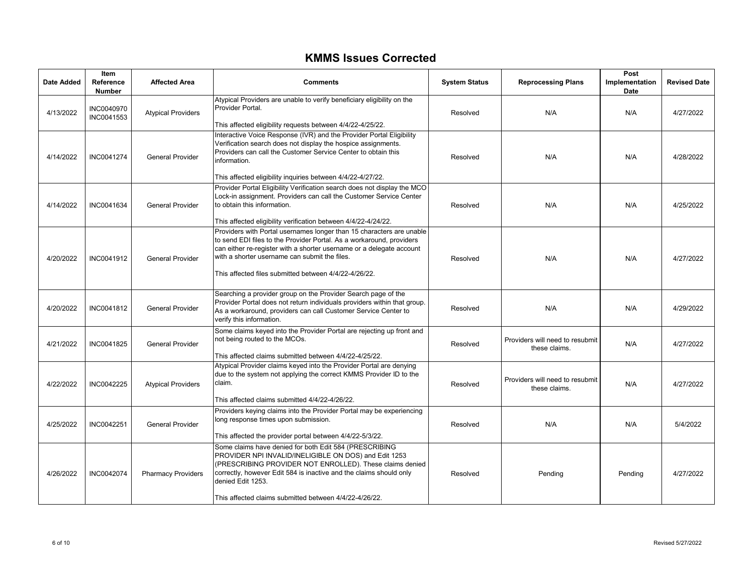#### **KMMS Issues Corrected**

| Date Added | Item<br><b>Reference</b><br><b>Number</b> | <b>Affected Area</b>      | <b>Comments</b>                                                                                                                                                                                                                                                                                                                  | <b>System Status</b> | <b>Reprocessing Plans</b>                        | Post<br>Implementation<br>Date | <b>Revised Date</b> |
|------------|-------------------------------------------|---------------------------|----------------------------------------------------------------------------------------------------------------------------------------------------------------------------------------------------------------------------------------------------------------------------------------------------------------------------------|----------------------|--------------------------------------------------|--------------------------------|---------------------|
| 4/13/2022  | INC0040970<br>INC0041553                  | <b>Atypical Providers</b> | Atypical Providers are unable to verify beneficiary eligibility on the<br>Provider Portal.<br>This affected eligibility requests between 4/4/22-4/25/22.                                                                                                                                                                         | Resolved             | N/A                                              | N/A                            | 4/27/2022           |
| 4/14/2022  | INC0041274                                | <b>General Provider</b>   | Interactive Voice Response (IVR) and the Provider Portal Eligibility<br>Verification search does not display the hospice assignments.<br>Providers can call the Customer Service Center to obtain this<br>information.<br>This affected eligibility inquiries between 4/4/22-4/27/22.                                            | Resolved             | N/A                                              | N/A                            | 4/28/2022           |
| 4/14/2022  | INC0041634                                | <b>General Provider</b>   | Provider Portal Eligibility Verification search does not display the MCO<br>Lock-in assignment. Providers can call the Customer Service Center<br>to obtain this information.<br>This affected eligibility verification between 4/4/22-4/24/22.                                                                                  | Resolved             | N/A                                              | N/A                            | 4/25/2022           |
| 4/20/2022  | INC0041912                                | <b>General Provider</b>   | Providers with Portal usernames longer than 15 characters are unable<br>to send EDI files to the Provider Portal. As a workaround, providers<br>can either re-register with a shorter username or a delegate account<br>with a shorter username can submit the files.<br>This affected files submitted between 4/4/22-4/26/22.   | Resolved             | N/A                                              | N/A                            | 4/27/2022           |
| 4/20/2022  | INC0041812                                | <b>General Provider</b>   | Searching a provider group on the Provider Search page of the<br>Provider Portal does not return individuals providers within that group.<br>As a workaround, providers can call Customer Service Center to<br>verify this information.                                                                                          | Resolved             | N/A                                              | N/A                            | 4/29/2022           |
| 4/21/2022  | INC0041825                                | <b>General Provider</b>   | Some claims keyed into the Provider Portal are rejecting up front and<br>not being routed to the MCOs.<br>This affected claims submitted between 4/4/22-4/25/22.                                                                                                                                                                 | Resolved             | Providers will need to resubmit<br>these claims. | N/A                            | 4/27/2022           |
| 4/22/2022  | INC0042225                                | <b>Atypical Providers</b> | Atypical Provider claims keyed into the Provider Portal are denying<br>due to the system not applying the correct KMMS Provider ID to the<br>claim.<br>This affected claims submitted 4/4/22-4/26/22.                                                                                                                            | Resolved             | Providers will need to resubmit<br>these claims. | N/A                            | 4/27/2022           |
| 4/25/2022  | INC0042251                                | <b>General Provider</b>   | Providers keying claims into the Provider Portal may be experiencing<br>long response times upon submission.<br>This affected the provider portal between 4/4/22-5/3/22.                                                                                                                                                         | Resolved             | N/A                                              | N/A                            | 5/4/2022            |
| 4/26/2022  | INC0042074                                | <b>Pharmacy Providers</b> | Some claims have denied for both Edit 584 (PRESCRIBING<br>PROVIDER NPI INVALID/INELIGIBLE ON DOS) and Edit 1253<br>(PRESCRIBING PROVIDER NOT ENROLLED). These claims denied<br>correctly, however Edit 584 is inactive and the claims should only<br>denied Edit 1253.<br>This affected claims submitted between 4/4/22-4/26/22. | Resolved             | Pending                                          | Pending                        | 4/27/2022           |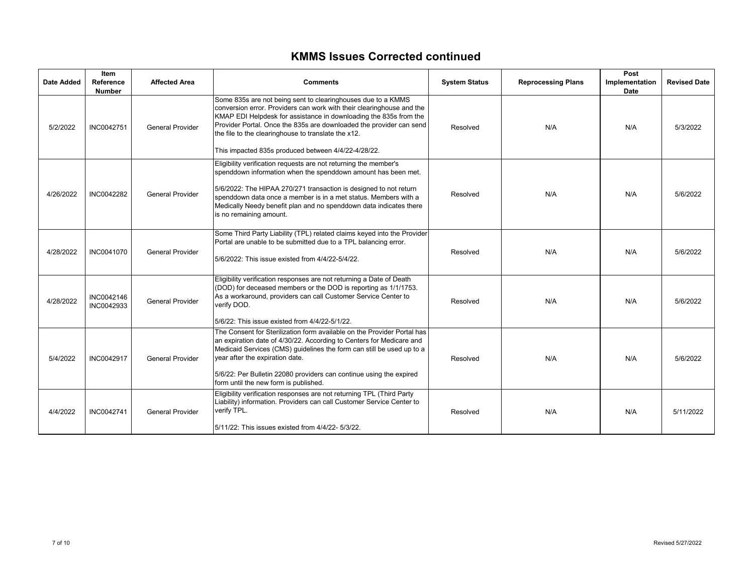### **KMMS Issues Corrected continued**

| Date Added | <b>Item</b><br>Reference<br><b>Number</b> | <b>Affected Area</b>    | <b>Comments</b>                                                                                                                                                                                                                                                                                                                                                                                 | <b>System Status</b> | <b>Reprocessing Plans</b> | Post<br>Implementation<br><b>Date</b> | <b>Revised Date</b> |
|------------|-------------------------------------------|-------------------------|-------------------------------------------------------------------------------------------------------------------------------------------------------------------------------------------------------------------------------------------------------------------------------------------------------------------------------------------------------------------------------------------------|----------------------|---------------------------|---------------------------------------|---------------------|
| 5/2/2022   | INC0042751                                | <b>General Provider</b> | Some 835s are not being sent to clearinghouses due to a KMMS<br>conversion error. Providers can work with their clearinghouse and the<br>KMAP EDI Helpdesk for assistance in downloading the 835s from the<br>Provider Portal. Once the 835s are downloaded the provider can send<br>the file to the clearinghouse to translate the x12.<br>This impacted 835s produced between 4/4/22-4/28/22. | Resolved             | N/A                       | N/A                                   | 5/3/2022            |
| 4/26/2022  | INC0042282                                | <b>General Provider</b> | Eligibility verification requests are not returning the member's<br>spenddown information when the spenddown amount has been met.<br>5/6/2022: The HIPAA 270/271 transaction is designed to not return<br>spenddown data once a member is in a met status. Members with a<br>Medically Needy benefit plan and no spenddown data indicates there<br>is no remaining amount.                      | Resolved             | N/A                       | N/A                                   | 5/6/2022            |
| 4/28/2022  | INC0041070                                | <b>General Provider</b> | Some Third Party Liability (TPL) related claims keyed into the Provider<br>Portal are unable to be submitted due to a TPL balancing error.<br>5/6/2022: This issue existed from 4/4/22-5/4/22.                                                                                                                                                                                                  | Resolved             | N/A                       | N/A                                   | 5/6/2022            |
| 4/28/2022  | INC0042146<br>INC0042933                  | <b>General Provider</b> | Eligibility verification responses are not returning a Date of Death<br>(DOD) for deceased members or the DOD is reporting as 1/1/1753.<br>As a workaround, providers can call Customer Service Center to<br>verify DOD.<br>5/6/22: This issue existed from 4/4/22-5/1/22.                                                                                                                      | Resolved             | N/A                       | N/A                                   | 5/6/2022            |
| 5/4/2022   | INC0042917                                | <b>General Provider</b> | The Consent for Sterilization form available on the Provider Portal has<br>an expiration date of 4/30/22. According to Centers for Medicare and<br>Medicaid Services (CMS) guidelines the form can still be used up to a<br>year after the expiration date.<br>5/6/22: Per Bulletin 22080 providers can continue using the expired<br>form until the new form is published.                     | Resolved             | N/A                       | N/A                                   | 5/6/2022            |
| 4/4/2022   | INC0042741                                | <b>General Provider</b> | Eligibility verification responses are not returning TPL (Third Party<br>Liability) information. Providers can call Customer Service Center to<br>verify TPL.<br>5/11/22: This issues existed from 4/4/22- 5/3/22.                                                                                                                                                                              | Resolved             | N/A                       | N/A                                   | 5/11/2022           |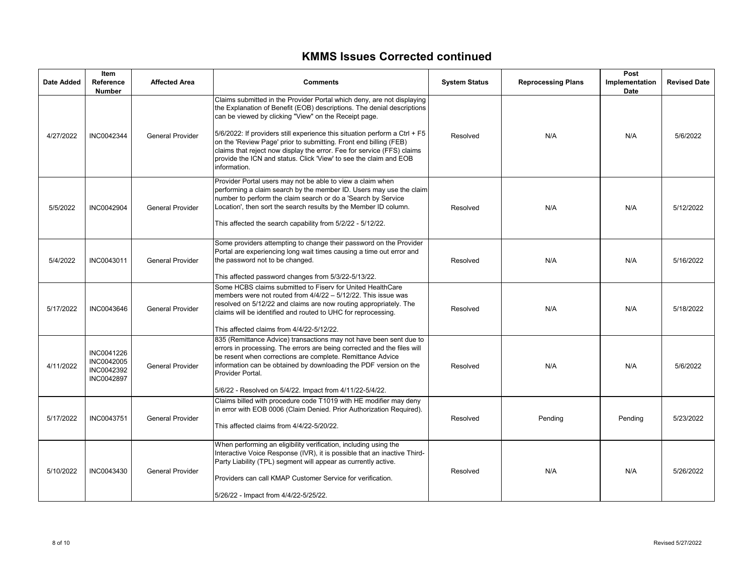#### **KMMS Issues Corrected continued**

| Date Added | Item<br>Reference<br><b>Number</b>                          | <b>Affected Area</b>    | <b>Comments</b>                                                                                                                                                                                                                                                                                                                                                                                                                                                                                                                | <b>System Status</b> | <b>Reprocessing Plans</b> | Post<br>Implementation<br>Date | <b>Revised Date</b> |
|------------|-------------------------------------------------------------|-------------------------|--------------------------------------------------------------------------------------------------------------------------------------------------------------------------------------------------------------------------------------------------------------------------------------------------------------------------------------------------------------------------------------------------------------------------------------------------------------------------------------------------------------------------------|----------------------|---------------------------|--------------------------------|---------------------|
| 4/27/2022  | INC0042344                                                  | <b>General Provider</b> | Claims submitted in the Provider Portal which deny, are not displaying<br>the Explanation of Benefit (EOB) descriptions. The denial descriptions<br>can be viewed by clicking "View" on the Receipt page.<br>$5/6/2022$ : If providers still experience this situation perform a Ctrl + F5<br>on the 'Review Page' prior to submitting. Front end billing (FEB)<br>claims that reject now display the error. Fee for service (FFS) claims<br>provide the ICN and status. Click 'View' to see the claim and EOB<br>information. | Resolved             | N/A                       | N/A                            | 5/6/2022            |
| 5/5/2022   | <b>INC0042904</b>                                           | <b>General Provider</b> | Provider Portal users may not be able to view a claim when<br>performing a claim search by the member ID. Users may use the claim<br>number to perform the claim search or do a 'Search by Service<br>Location', then sort the search results by the Member ID column.<br>This affected the search capability from 5/2/22 - 5/12/22.                                                                                                                                                                                           | Resolved             | N/A                       | N/A                            | 5/12/2022           |
| 5/4/2022   | INC0043011                                                  | <b>General Provider</b> | Some providers attempting to change their password on the Provider<br>Portal are experiencing long wait times causing a time out error and<br>the password not to be changed.<br>This affected password changes from 5/3/22-5/13/22.                                                                                                                                                                                                                                                                                           | Resolved             | N/A                       | N/A                            | 5/16/2022           |
| 5/17/2022  | INC0043646                                                  | <b>General Provider</b> | Some HCBS claims submitted to Fisery for United HealthCare<br>members were not routed from 4/4/22 - 5/12/22. This issue was<br>resolved on 5/12/22 and claims are now routing appropriately. The<br>claims will be identified and routed to UHC for reprocessing.<br>This affected claims from 4/4/22-5/12/22.                                                                                                                                                                                                                 | Resolved             | N/A                       | N/A                            | 5/18/2022           |
| 4/11/2022  | INC0041226<br>INC0042005<br>INC0042392<br><b>INC0042897</b> | <b>General Provider</b> | 835 (Remittance Advice) transactions may not have been sent due to<br>errors in processing. The errors are being corrected and the files will<br>be resent when corrections are complete. Remittance Advice<br>information can be obtained by downloading the PDF version on the<br>Provider Portal.<br>5/6/22 - Resolved on 5/4/22. Impact from 4/11/22-5/4/22.                                                                                                                                                               | Resolved             | N/A                       | N/A                            | 5/6/2022            |
| 5/17/2022  | <b>INC0043751</b>                                           | <b>General Provider</b> | Claims billed with procedure code T1019 with HE modifier may deny<br>in error with EOB 0006 (Claim Denied. Prior Authorization Required).<br>This affected claims from 4/4/22-5/20/22.                                                                                                                                                                                                                                                                                                                                         | Resolved             | Pending                   | Pending                        | 5/23/2022           |
| 5/10/2022  | INC0043430                                                  | <b>General Provider</b> | When performing an eligibility verification, including using the<br>Interactive Voice Response (IVR), it is possible that an inactive Third-<br>Party Liability (TPL) segment will appear as currently active.<br>Providers can call KMAP Customer Service for verification.<br>5/26/22 - Impact from 4/4/22-5/25/22.                                                                                                                                                                                                          | Resolved             | N/A                       | N/A                            | 5/26/2022           |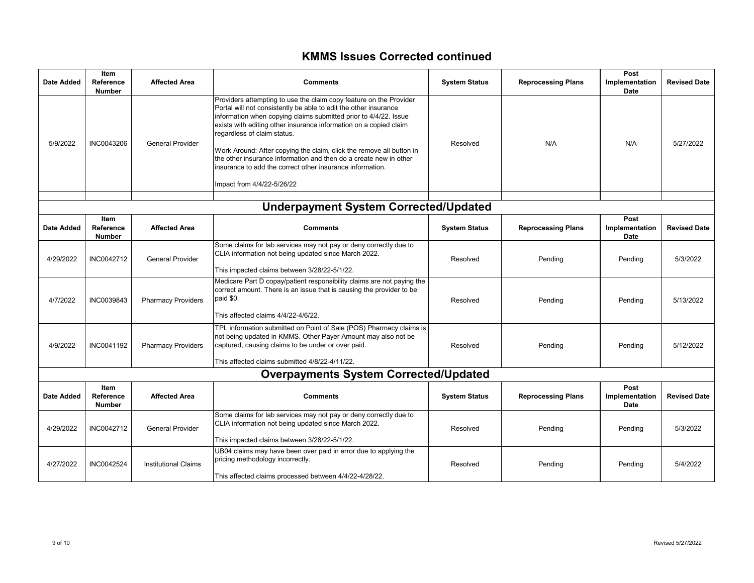### **KMMS Issues Corrected continued**

| <b>Date Added</b> | Item<br>Reference<br><b>Number</b> | <b>Affected Area</b>        | <b>Comments</b>                                                                                                                                                                                                                                                                                                                                                                                                                                                                                                                                        | <b>System Status</b> | <b>Reprocessing Plans</b> | Post<br>Implementation<br>Date | <b>Revised Date</b> |
|-------------------|------------------------------------|-----------------------------|--------------------------------------------------------------------------------------------------------------------------------------------------------------------------------------------------------------------------------------------------------------------------------------------------------------------------------------------------------------------------------------------------------------------------------------------------------------------------------------------------------------------------------------------------------|----------------------|---------------------------|--------------------------------|---------------------|
| 5/9/2022          | INC0043206                         | <b>General Provider</b>     | Providers attempting to use the claim copy feature on the Provider<br>Portal will not consistently be able to edit the other insurance<br>information when copying claims submitted prior to 4/4/22. Issue<br>exists with editing other insurance information on a copied claim<br>regardless of claim status.<br>Work Around: After copying the claim, click the remove all button in<br>the other insurance information and then do a create new in other<br>insurance to add the correct other insurance information.<br>Impact from 4/4/22-5/26/22 | Resolved             | N/A                       | N/A                            | 5/27/2022           |
|                   |                                    |                             | <b>Underpayment System Corrected/Updated</b>                                                                                                                                                                                                                                                                                                                                                                                                                                                                                                           |                      |                           |                                |                     |
| <b>Date Added</b> | Item<br>Reference<br><b>Number</b> | <b>Affected Area</b>        | <b>Comments</b>                                                                                                                                                                                                                                                                                                                                                                                                                                                                                                                                        | <b>System Status</b> | <b>Reprocessing Plans</b> | Post<br>Implementation<br>Date | <b>Revised Date</b> |
| 4/29/2022         | INC0042712                         | <b>General Provider</b>     | Some claims for lab services may not pay or deny correctly due to<br>CLIA information not being updated since March 2022.<br>This impacted claims between 3/28/22-5/1/22.                                                                                                                                                                                                                                                                                                                                                                              | Resolved             | Pending                   | Pending                        | 5/3/2022            |
| 4/7/2022          | INC0039843                         | <b>Pharmacy Providers</b>   | Medicare Part D copay/patient responsibility claims are not paying the<br>correct amount. There is an issue that is causing the provider to be<br>paid \$0.<br>This affected claims 4/4/22-4/6/22.                                                                                                                                                                                                                                                                                                                                                     | Resolved             | Pending                   | Pending                        | 5/13/2022           |
| 4/9/2022          | INC0041192                         | <b>Pharmacy Providers</b>   | TPL information submitted on Point of Sale (POS) Pharmacy claims is<br>not being updated in KMMS. Other Payer Amount may also not be<br>captured, causing claims to be under or over paid.<br>This affected claims submitted 4/8/22-4/11/22.                                                                                                                                                                                                                                                                                                           | Resolved             | Pending                   | Pending                        | 5/12/2022           |
|                   |                                    |                             | <b>Overpayments System Corrected/Updated</b>                                                                                                                                                                                                                                                                                                                                                                                                                                                                                                           |                      |                           |                                |                     |
| <b>Date Added</b> | Item<br>Reference<br><b>Number</b> | <b>Affected Area</b>        | <b>Comments</b>                                                                                                                                                                                                                                                                                                                                                                                                                                                                                                                                        | <b>System Status</b> | <b>Reprocessing Plans</b> | Post<br>Implementation<br>Date | <b>Revised Date</b> |
| 4/29/2022         | INC0042712                         | <b>General Provider</b>     | Some claims for lab services may not pay or deny correctly due to<br>CLIA information not being updated since March 2022.<br>This impacted claims between 3/28/22-5/1/22.                                                                                                                                                                                                                                                                                                                                                                              | Resolved             | Pending                   | Pending                        | 5/3/2022            |
| 4/27/2022         | INC0042524                         | <b>Institutional Claims</b> | UB04 claims may have been over paid in error due to applying the<br>pricing methodology incorrectly.<br>This affected claims processed between 4/4/22-4/28/22.                                                                                                                                                                                                                                                                                                                                                                                         | Resolved             | Pending                   | Pending                        | 5/4/2022            |